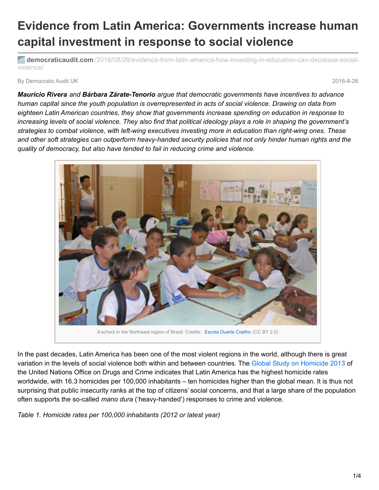## **Evidence from Latin America: Governments increase human capital investment in response to social violence**

**democraticaudit.com** [/2016/08/26/evidence-from-latin-america-how-investing-in-education-can-decrease-social](http://www.democraticaudit.com/2016/08/26/evidence-from-latin-america-how-investing-in-education-can-decrease-social-violence/)violence/

By Democratic Audit UK 2016-8-26

*Mauricio Rivera and Bárbara Zárate-Tenorio argue that democratic governments have incentives to advance* human capital since the youth population is overrepresented in acts of social violence. Drawing on data from *eighteen Latin American countries, they show that governments increase spending on education in response to* increasing levels of social violence. They also find that political ideology plays a role in shaping the government's *strategies to combat violence, with left-wing executives investing more in education than right-wing ones. These* and other soft strategies can outperform heavy-handed security policies that not only hinder human rights and the *quality of democracy, but also have tended to fail in reducing crime and violence.*



In the past decades, Latin America has been one of the most violent regions in the world, although there is great variation in the levels of social violence both within and between countries. The Global Study on [Homicide](https://www.unodc.org/gsh/) 2013 of the United Nations Office on Drugs and Crime indicates that Latin America has the highest homicide rates worldwide, with 16.3 homicides per 100,000 inhabitants – ten homicides higher than the global mean. It is thus not surprising that public insecurity ranks at the top of citizens' social concerns, and that a large share of the population often supports the so-called *mano dura* ('heavy-handed') responses to crime and violence.

*Table 1. Homicide rates per 100,000 inhabitants (2012 or latest year)*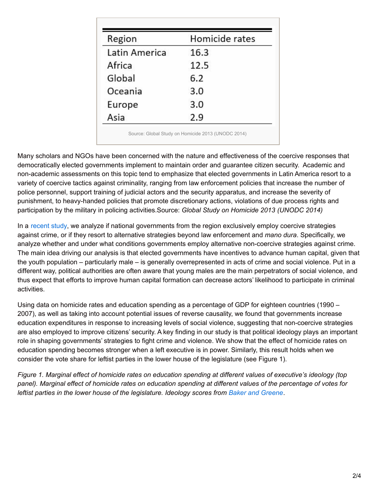| Region        | Homicide rates |
|---------------|----------------|
| Latin America | 16.3           |
| Africa        | 12.5           |
| Global        | 6.2            |
| Oceania       | 3.0            |
| Europe        | 3.0            |
| Asia          | 2.9            |

Many scholars and NGOs have been concerned with the nature and effectiveness of the coercive responses that democratically elected governments implement to maintain order and guarantee citizen security. Academic and non-academic assessments on this topic tend to emphasize that elected governments in Latin America resort to a variety of coercive tactics against criminality, ranging from law enforcement policies that increase the number of police personnel, support training of judicial actors and the security apparatus, and increase the severity of punishment, to heavy-handed policies that promote discretionary actions, violations of due process rights and participation by the military in policing activities.Source: *Global Study on Homicide 2013 (UNODC 2014)*

In a [recent](http://onlinelibrary.wiley.com/doi/10.1111/1475-6765.12139/abstract) study, we analyze if national governments from the region exclusively employ coercive strategies against crime, or if they resort to alternative strategies beyond law enforcement and *mano dura*. Specifically, we analyze whether and under what conditions governments employ alternative non-coercive strategies against crime. The main idea driving our analysis is that elected governments have incentives to advance human capital, given that the youth population – particularly male – is generally overrepresented in acts of crime and social violence. Put in a different way, political authorities are often aware that young males are the main perpetrators of social violence, and thus expect that efforts to improve human capital formation can decrease actors' likelihood to participate in criminal activities.

Using data on homicide rates and education spending as a percentage of GDP for eighteen countries (1990 – 2007), as well as taking into account potential issues of reverse causality, we found that governments increase education expenditures in response to increasing levels of social violence, suggesting that non-coercive strategies are also employed to improve citizens' security. A key finding in our study is that political ideology plays an important role in shaping governments' strategies to fight crime and violence. We show that the effect of homicide rates on education spending becomes stronger when a left executive is in power. Similarly, this result holds when we consider the vote share for leftist parties in the lower house of the legislature (see Figure 1).

Figure 1. Marginal effect of homicide rates on education spending at different values of executive's ideology (top panel). Marginal effect of homicide rates on education spending at different values of the percentage of votes for *leftist parties in the lower house of the legislature. Ideology scores from Baker and [Greene](http://spot.colorado.edu/~bakerab/Latin American Left).*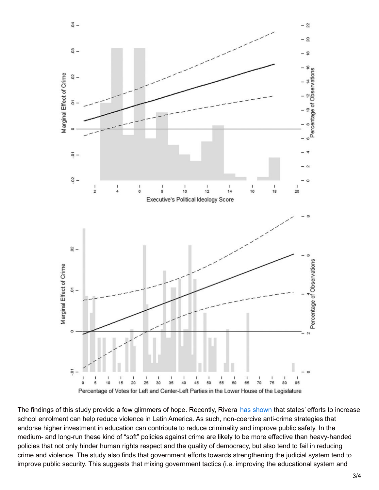

The findings of this study provide a few glimmers of hope. Recently, Rivera has [shown](http://jpr.sagepub.com/content/53/1/84) that states' efforts to increase school enrolment can help reduce violence in Latin America. As such, non-coercive anti-crime strategies that endorse higher investment in education can contribute to reduce criminality and improve public safety. In the medium- and long-run these kind of "soft" policies against crime are likely to be more effective than heavy-handed policies that not only hinder human rights respect and the quality of democracy, but also tend to fail in reducing crime and violence. The study also finds that government efforts towards strengthening the judicial system tend to improve public security. This suggests that mixing government tactics (i.e. improving the educational system and